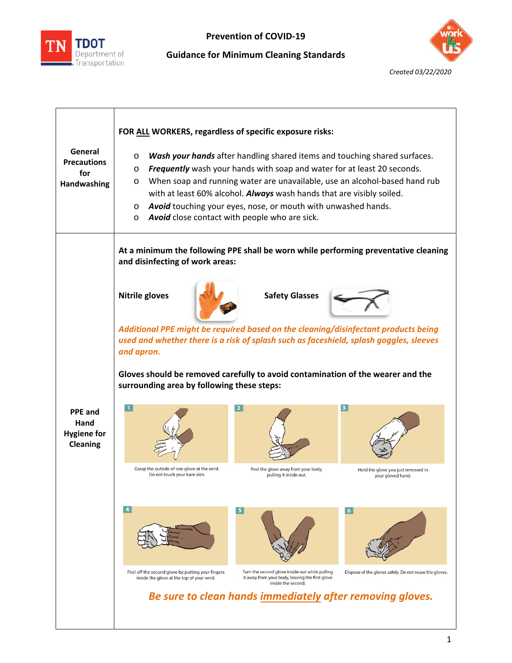

## **Prevention of COVID‐19**

**Guidance for Minimum Cleaning Standards** 



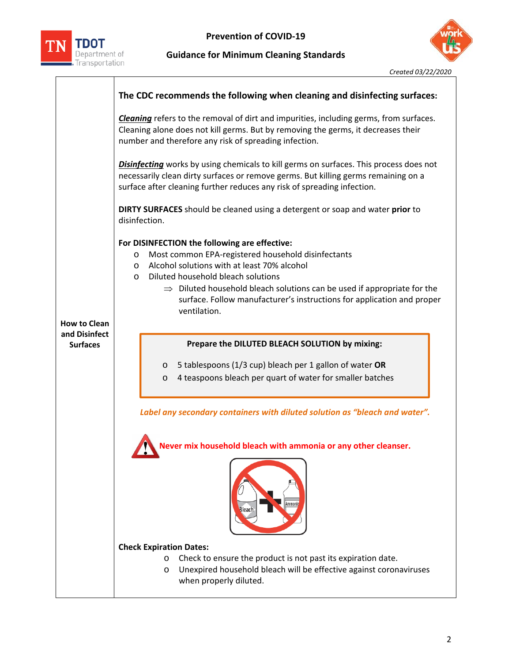

## **Guidance for Minimum Cleaning Standards**



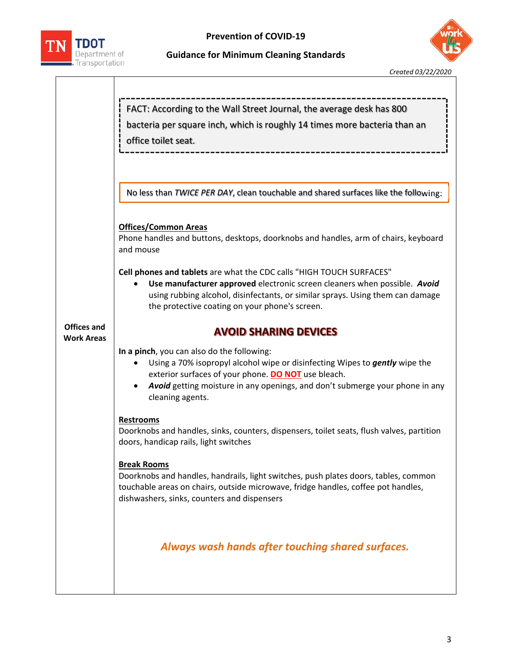

## **Prevention of COVID‐19**



**Guidance for Minimum Cleaning Standards** 

|                                         | FACT: According to the Wall Street Journal, the average desk has 800<br>bacteria per square inch, which is roughly 14 times more bacteria than an<br>office toilet seat.                                                                                                                   |  |  |  |  |
|-----------------------------------------|--------------------------------------------------------------------------------------------------------------------------------------------------------------------------------------------------------------------------------------------------------------------------------------------|--|--|--|--|
|                                         | No less than TWICE PER DAY, clean touchable and shared surfaces like the following:                                                                                                                                                                                                        |  |  |  |  |
|                                         | <b>Offices/Common Areas</b><br>Phone handles and buttons, desktops, doorknobs and handles, arm of chairs, keyboard<br>and mouse                                                                                                                                                            |  |  |  |  |
|                                         | Cell phones and tablets are what the CDC calls "HIGH TOUCH SURFACES"<br>Use manufacturer approved electronic screen cleaners when possible. Avoid<br>٠<br>using rubbing alcohol, disinfectants, or similar sprays. Using them can damage<br>the protective coating on your phone's screen. |  |  |  |  |
| <b>Offices and</b><br><b>Work Areas</b> | <b>AVOID SHARING DEVICES</b>                                                                                                                                                                                                                                                               |  |  |  |  |
|                                         | In a pinch, you can also do the following:<br>Using a 70% isopropyl alcohol wipe or disinfecting Wipes to gently wipe the<br>exterior surfaces of your phone. DO NOT use bleach.<br>Avoid getting moisture in any openings, and don't submerge your phone in any<br>cleaning agents.       |  |  |  |  |
|                                         | <b>Restrooms</b><br>Doorknobs and handles, sinks, counters, dispensers, toilet seats, flush valves, partition<br>doors, handicap rails, light switches                                                                                                                                     |  |  |  |  |
|                                         | <b>Break Rooms</b><br>Doorknobs and handles, handrails, light switches, push plates doors, tables, common<br>touchable areas on chairs, outside microwave, fridge handles, coffee pot handles,<br>dishwashers, sinks, counters and dispensers                                              |  |  |  |  |
|                                         | Always wash hands after touching shared surfaces.                                                                                                                                                                                                                                          |  |  |  |  |
|                                         |                                                                                                                                                                                                                                                                                            |  |  |  |  |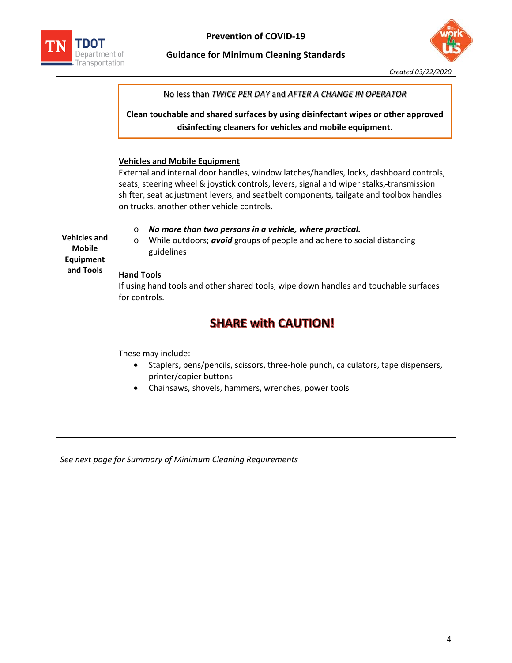

## **Guidance for Minimum Cleaning Standards**



 *Created 03/22/2020*

|                                                                | No less than TWICE PER DAY and AFTER A CHANGE IN OPERATOR                                                                                                                                                                                                                                                                                                                                                                                                                                                                                                                                                                                                                                                                                                                                                                                                                                                       |  |  |  |  |
|----------------------------------------------------------------|-----------------------------------------------------------------------------------------------------------------------------------------------------------------------------------------------------------------------------------------------------------------------------------------------------------------------------------------------------------------------------------------------------------------------------------------------------------------------------------------------------------------------------------------------------------------------------------------------------------------------------------------------------------------------------------------------------------------------------------------------------------------------------------------------------------------------------------------------------------------------------------------------------------------|--|--|--|--|
|                                                                | Clean touchable and shared surfaces by using disinfectant wipes or other approved<br>disinfecting cleaners for vehicles and mobile equipment.                                                                                                                                                                                                                                                                                                                                                                                                                                                                                                                                                                                                                                                                                                                                                                   |  |  |  |  |
| <b>Vehicles and</b><br><b>Mobile</b><br>Equipment<br>and Tools | <b>Vehicles and Mobile Equipment</b><br>External and internal door handles, window latches/handles, locks, dashboard controls,<br>seats, steering wheel & joystick controls, levers, signal and wiper stalks,-transmission<br>shifter, seat adjustment levers, and seatbelt components, tailgate and toolbox handles<br>on trucks, another other vehicle controls.<br>No more than two persons in a vehicle, where practical.<br>$\circ$<br>While outdoors; avoid groups of people and adhere to social distancing<br>$\circ$<br>guidelines<br><b>Hand Tools</b><br>If using hand tools and other shared tools, wipe down handles and touchable surfaces<br>for controls.<br><b>SHARE with CAUTION!</b><br>These may include:<br>Staplers, pens/pencils, scissors, three-hole punch, calculators, tape dispensers,<br>$\bullet$<br>printer/copier buttons<br>Chainsaws, shovels, hammers, wrenches, power tools |  |  |  |  |

*See next page for Summary of Minimum Cleaning Requirements*